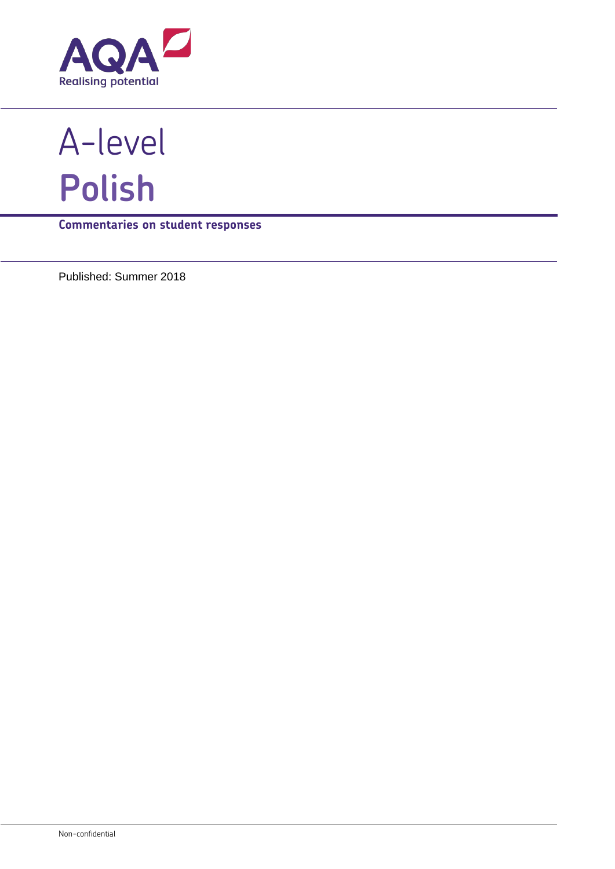

A-level **Polish**

**Commentaries on student responses**

Published: Summer 2018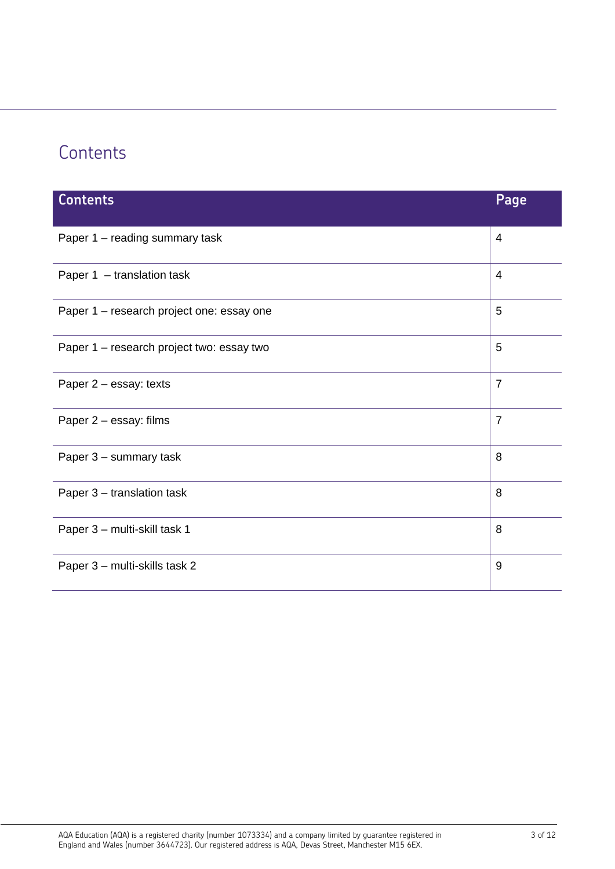# **Contents**

| <b>Contents</b>                           | Page           |
|-------------------------------------------|----------------|
| Paper 1 - reading summary task            | 4              |
| Paper 1 - translation task                | 4              |
| Paper 1 - research project one: essay one | 5              |
| Paper 1 - research project two: essay two | 5              |
| Paper 2 - essay: texts                    | $\overline{7}$ |
| Paper 2 - essay: films                    | $\overline{7}$ |
| Paper 3 - summary task                    | 8              |
| Paper 3 - translation task                | 8              |
| Paper 3 - multi-skill task 1              | 8              |
| Paper 3 - multi-skills task 2             | 9              |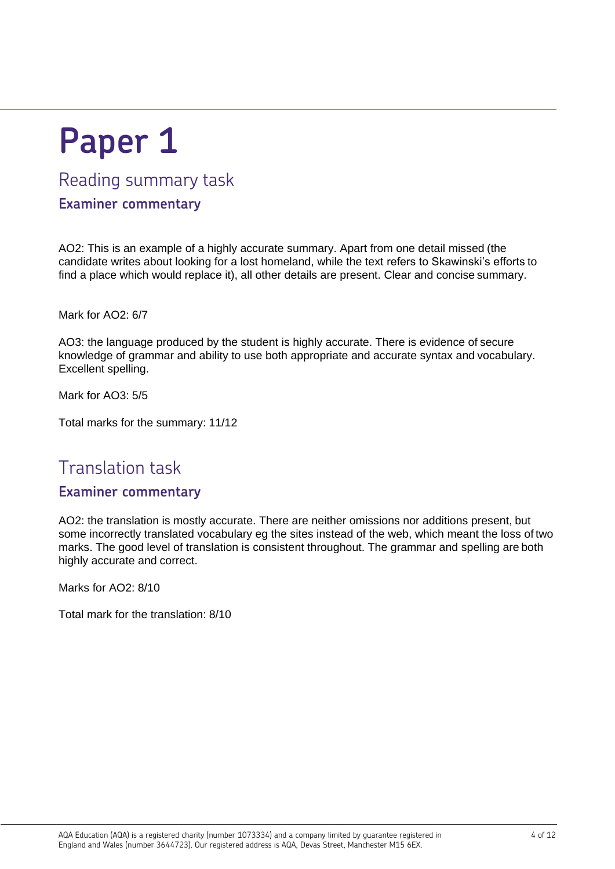# **Paper 1**

## Reading summary task

#### **Examiner commentary**

AO2: This is an example of a highly accurate summary. Apart from one detail missed (the candidate writes about looking for a lost homeland, while the text refers to Skawinski's efforts to find a place which would replace it), all other details are present. Clear and concise summary.

Mark for AO2: 6/7

AO3: the language produced by the student is highly accurate. There is evidence of secure knowledge of grammar and ability to use both appropriate and accurate syntax and vocabulary. Excellent spelling.

Mark for AO3: 5/5

Total marks for the summary: 11/12

# Translation task

#### **Examiner commentary**

AO2: the translation is mostly accurate. There are neither omissions nor additions present, but some incorrectly translated vocabulary eg the sites instead of the web, which meant the loss of two marks. The good level of translation is consistent throughout. The grammar and spelling are both highly accurate and correct.

Marks for AO<sub>2</sub>: 8/10

Total mark for the translation: 8/10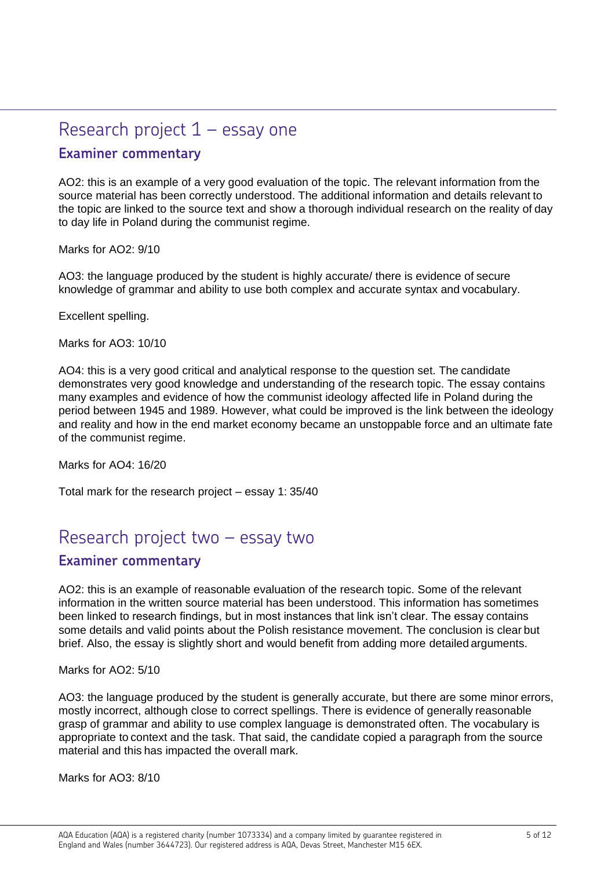# Research project 1 – essay one **Examiner commentary**

AO2: this is an example of a very good evaluation of the topic. The relevant information from the source material has been correctly understood. The additional information and details relevant to the topic are linked to the source text and show a thorough individual research on the reality of day to day life in Poland during the communist regime.

Marks for AO2: 9/10

AO3: the language produced by the student is highly accurate/ there is evidence of secure knowledge of grammar and ability to use both complex and accurate syntax and vocabulary.

Excellent spelling.

Marks for AO3: 10/10

AO4: this is a very good critical and analytical response to the question set. The candidate demonstrates very good knowledge and understanding of the research topic. The essay contains many examples and evidence of how the communist ideology affected life in Poland during the period between 1945 and 1989. However, what could be improved is the link between the ideology and reality and how in the end market economy became an unstoppable force and an ultimate fate of the communist regime.

Marks for AO4: 16/20

Total mark for the research project – essay 1: 35/40

### Research project two – essay two

#### **Examiner commentary**

AO2: this is an example of reasonable evaluation of the research topic. Some of the relevant information in the written source material has been understood. This information has sometimes been linked to research findings, but in most instances that link isn't clear. The essay contains some details and valid points about the Polish resistance movement. The conclusion is clear but brief. Also, the essay is slightly short and would benefit from adding more detailed arguments.

Marks for AO<sub>2</sub>: 5/10

AO3: the language produced by the student is generally accurate, but there are some minor errors, mostly incorrect, although close to correct spellings. There is evidence of generally reasonable grasp of grammar and ability to use complex language is demonstrated often. The vocabulary is appropriate to context and the task. That said, the candidate copied a paragraph from the source material and this has impacted the overall mark.

Marks for AO3: 8/10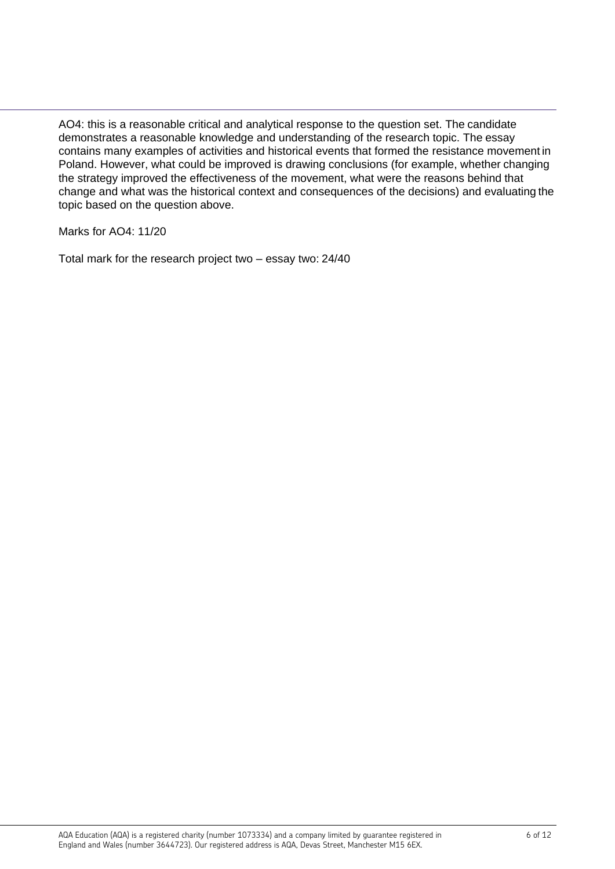AO4: this is a reasonable critical and analytical response to the question set. The candidate demonstrates a reasonable knowledge and understanding of the research topic. The essay contains many examples of activities and historical events that formed the resistance movement in Poland. However, what could be improved is drawing conclusions (for example, whether changing the strategy improved the effectiveness of the movement, what were the reasons behind that change and what was the historical context and consequences of the decisions) and evaluating the topic based on the question above.

Marks for AO4: 11/20

Total mark for the research project two – essay two: 24/40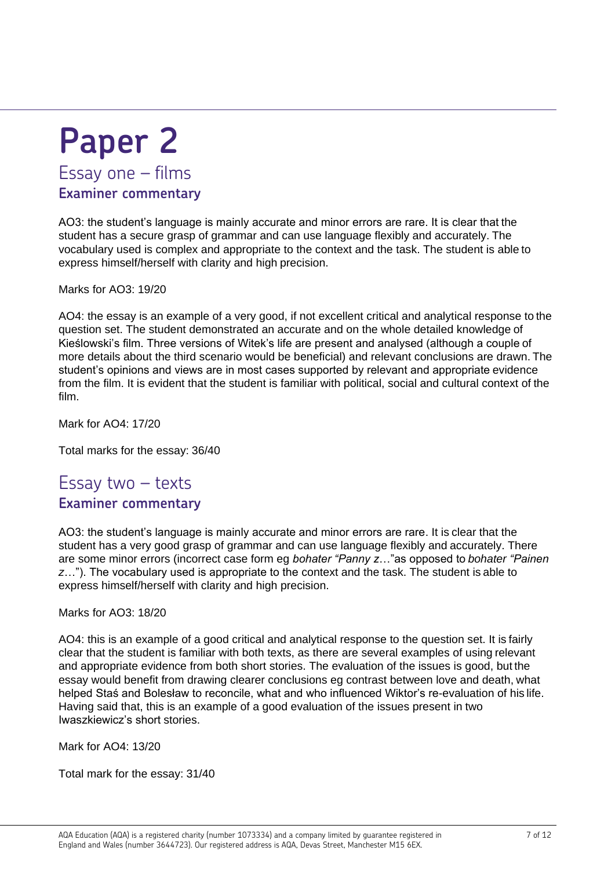# **Paper 2** Essay one – films **Examiner commentary**

AO3: the student's language is mainly accurate and minor errors are rare. It is clear that the student has a secure grasp of grammar and can use language flexibly and accurately. The vocabulary used is complex and appropriate to the context and the task. The student is able to express himself/herself with clarity and high precision.

Marks for AO3: 19/20

AO4: the essay is an example of a very good, if not excellent critical and analytical response to the question set. The student demonstrated an accurate and on the whole detailed knowledge of Kieślowski's film. Three versions of Witek's life are present and analysed (although a couple of more details about the third scenario would be beneficial) and relevant conclusions are drawn. The student's opinions and views are in most cases supported by relevant and appropriate evidence from the film. It is evident that the student is familiar with political, social and cultural context of the film.

Mark for AO4: 17/20

Total marks for the essay: 36/40

# Essay two – texts

#### **Examiner commentary**

AO3: the student's language is mainly accurate and minor errors are rare. It is clear that the student has a very good grasp of grammar and can use language flexibly and accurately. There are some minor errors (incorrect case form eg *bohater "Panny z*…"as opposed to *bohater "Painen z*…"). The vocabulary used is appropriate to the context and the task. The student is able to express himself/herself with clarity and high precision.

Marks for AO3: 18/20

AO4: this is an example of a good critical and analytical response to the question set. It is fairly clear that the student is familiar with both texts, as there are several examples of using relevant and appropriate evidence from both short stories. The evaluation of the issues is good, but the essay would benefit from drawing clearer conclusions eg contrast between love and death, what helped Staś and Bolesław to reconcile, what and who influenced Wiktor's re-evaluation of his life. Having said that, this is an example of a good evaluation of the issues present in two Iwaszkiewicz's short stories.

Mark for AO4: 13/20

Total mark for the essay: 31/40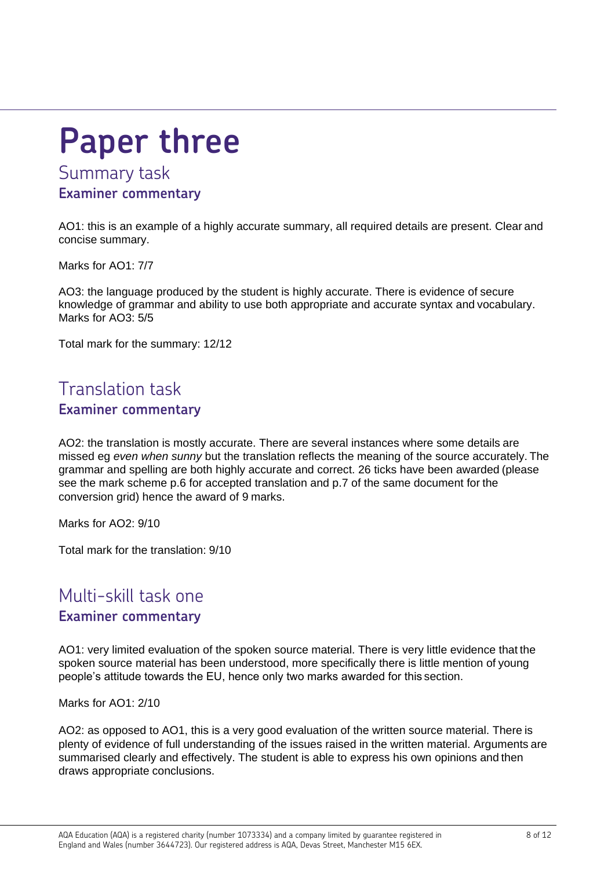# **Paper three**

## Summary task **Examiner commentary**

AO1: this is an example of a highly accurate summary, all required details are present. Clear and concise summary.

Marks for AO1: 7/7

AO3: the language produced by the student is highly accurate. There is evidence of secure knowledge of grammar and ability to use both appropriate and accurate syntax and vocabulary. Marks for AO3: 5/5

Total mark for the summary: 12/12

## Translation task **Examiner commentary**

AO2: the translation is mostly accurate. There are several instances where some details are missed eg *even when sunny* but the translation reflects the meaning of the source accurately. The grammar and spelling are both highly accurate and correct. 26 ticks have been awarded (please see the mark scheme p.6 for accepted translation and p.7 of the same document for the conversion grid) hence the award of 9 marks.

Marks for AO2: 9/10

Total mark for the translation: 9/10

### Multi-skill task one **Examiner commentary**

AO1: very limited evaluation of the spoken source material. There is very little evidence that the spoken source material has been understood, more specifically there is little mention of young people's attitude towards the EU, hence only two marks awarded for this section.

Marks for AO1: 2/10

AO2: as opposed to AO1, this is a very good evaluation of the written source material. There is plenty of evidence of full understanding of the issues raised in the written material. Arguments are summarised clearly and effectively. The student is able to express his own opinions and then draws appropriate conclusions.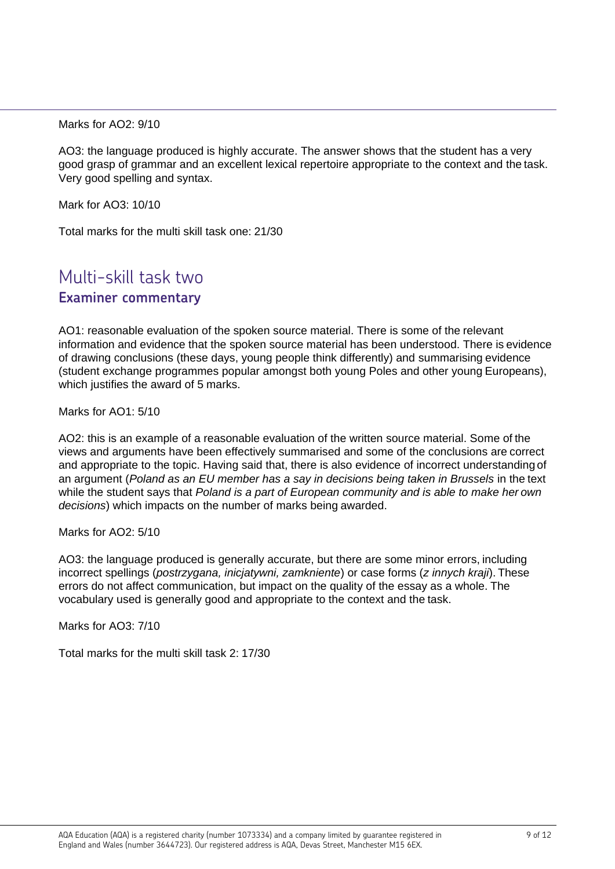Marks for AO<sub>2</sub>: 9/10

AO3: the language produced is highly accurate. The answer shows that the student has a very good grasp of grammar and an excellent lexical repertoire appropriate to the context and the task. Very good spelling and syntax.

Mark for AO3: 10/10

Total marks for the multi skill task one: 21/30

## Multi-skill task two **Examiner commentary**

AO1: reasonable evaluation of the spoken source material. There is some of the relevant information and evidence that the spoken source material has been understood. There is evidence of drawing conclusions (these days, young people think differently) and summarising evidence (student exchange programmes popular amongst both young Poles and other young Europeans), which justifies the award of 5 marks.

Marks for AO1: 5/10

AO2: this is an example of a reasonable evaluation of the written source material. Some of the views and arguments have been effectively summarised and some of the conclusions are correct and appropriate to the topic. Having said that, there is also evidence of incorrect understanding of an argument (*Poland as an EU member has a say in decisions being taken in Brussels* in the text while the student says that *Poland is a part of European community and is able to make her own decisions*) which impacts on the number of marks being awarded.

Marks for AO2: 5/10

AO3: the language produced is generally accurate, but there are some minor errors, including incorrect spellings (*postrzygana, inicjatywni, zamkniente*) or case forms (*z innych kraji*). These errors do not affect communication, but impact on the quality of the essay as a whole. The vocabulary used is generally good and appropriate to the context and the task.

Marks for AO3: 7/10

Total marks for the multi skill task 2: 17/30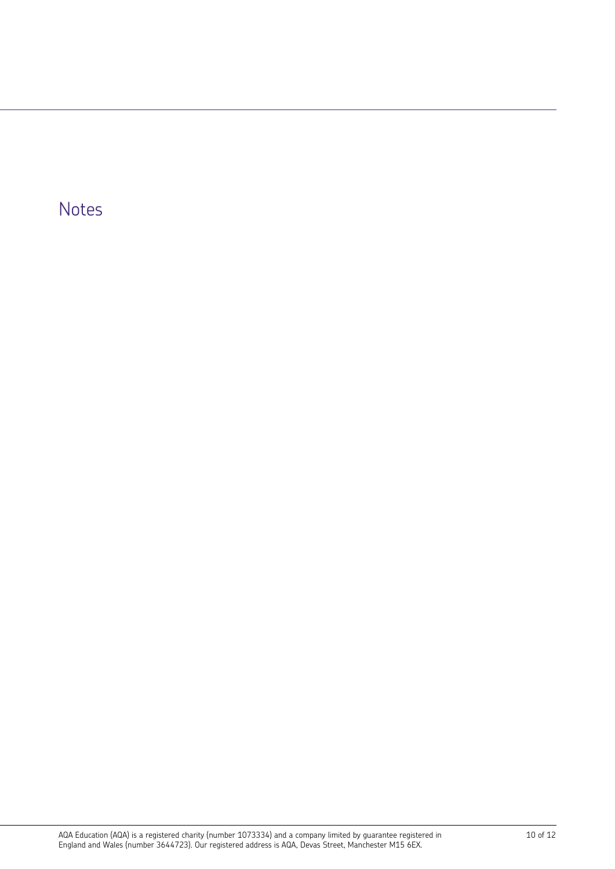# Notes